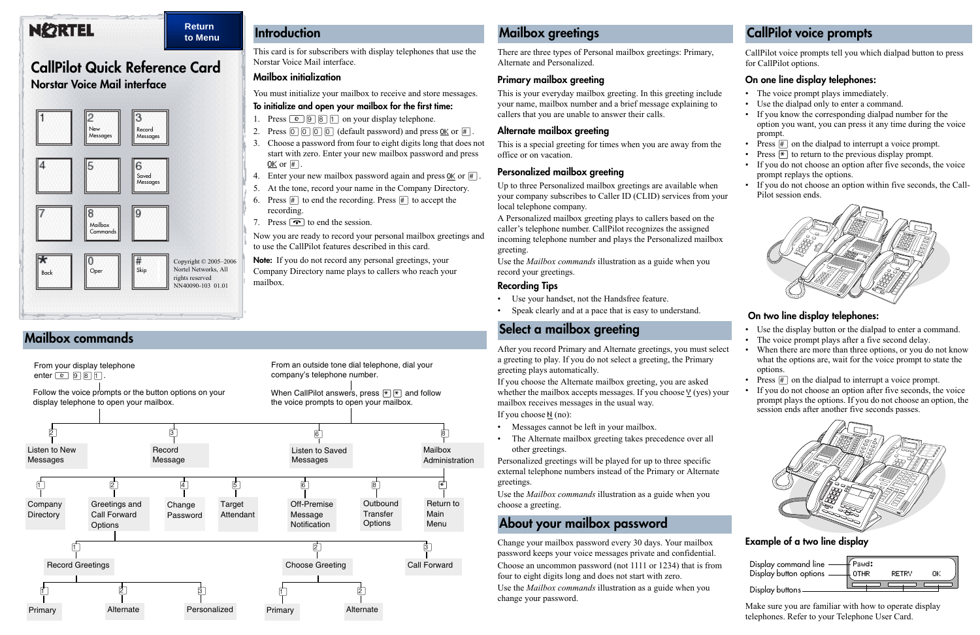This card is for subscribers with display telephones that use the Norstar Voice Mail interface.

#### **Mailbox initialization**

You must initialize your mailbox to receive and store messages.

#### **To initialize and open your mailbox for the first time:**

- 1. Press  $\boxed{\circ}$   $\boxed{9}$   $\boxed{8}$   $\boxed{1}$  on your display telephone.
- 2. Press  $[0] [0] [0]$  (default password) and press <u>OK</u> or  $[#].$
- 3. Choose a password from four to eight digits long that does not start with zero. Enter your new mailbox password and press OK or  $#$ .
- 4. Enter your new mailbox password again and press  $\underline{OK}$  or  $\overline{H}$ .
- 5. At the tone, record your name in the Company Directory.
- 6. Press  $\#$  to end the recording. Press  $\#$  to accept the recording.
- 7. Press  $\boxed{\bullet}$  to end the session.

Now you are ready to record your personal mailbox greetings and to use the CallPilot features described in this card.

**Note:** If you do not record any personal greetings, your Company Directory name plays to callers who reach your mailbox.

### **Introduction**

# **CallPilot Quick Reference Card**

### **Norstar Voice Mail interface**



There are three types of Personal mailbox greetings: Primary, Alternate and Personalized.

#### **Primary mailbox greeting**

This is your everyday mailbox greeting. In this greeting include your name, mailbox number and a brief message explaining to callers that you are unable to answer their calls.

#### **Alternate mailbox greeting**

This is a special greeting for times when you are away from the office or on vacation.

#### **Personalized mailbox greeting**

Up to three Personalized mailbox greetings are available when your company subscribes to Caller ID (CLID) services from your local telephone company.

A Personalized mailbox greeting plays to callers based on the caller's telephone number. CallPilot recognizes the assigned incoming telephone number and plays the Personalized mailbox greeting.

Use the *Mailbox commands* illustration as a guide when you record your greetings.

### **Recording Tips**

- Use your handset, not the Handsfree feature.
- Speak clearly and at a pace that is easy to understand.

After you record Primary and Alternate greetings, you must select a greeting to play. If you do not select a greeting, the Primary greeting plays automatically.

- The voice prompt plays immediately.
- Use the dialpad only to enter a command.
- If you know the corresponding dialpad number for the option you want, you can press it any time during the voice prompt.
- Press  $#$  on the dialpad to interrupt a voice prompt.
- Press  $\mathbb{F}$  to return to the previous display prompt.
- If you do not choose an option after five seconds, the voice prompt replays the options.
- If you do not choose an option within five seconds, the Call-Pilot session ends.

If you choose the Alternate mailbox greeting, you are asked whether the mailbox accepts messages. If you choose  $\frac{V}{V}$  (yes) your mailbox receives messages in the usual way.

If you choose N (no):

- Messages cannot be left in your mailbox.
- The Alternate mailbox greeting takes precedence over all other greetings.

Personalized greetings will be played for up to three specific external telephone numbers instead of the Primary or Alternate greetings.

Use the *Mailbox commands* illustration as a guide when you choose a greeting.

Change your mailbox password every 30 days. Your mailbox password keeps your voice messages private and confidential. Choose an uncommon password (not 1111 or 1234) that is from four to eight digits long and does not start with zero.

Use the *Mailbox commands* illustration as a guide when you change your password.

### **Mailbox greetings**

### **Select a mailbox greeting**

### **About your mailbox password**

### **Mailbox commands**



CallPilot voice prompts tell you which dialpad button to press for CallPilot options.

### **On one line display telephones:**

### **On two line display telephones:**

- Use the display button or the dialpad to enter a command.
- The voice prompt plays after a five second delay.
- When there are more than three options, or you do not know what the options are, wait for the voice prompt to state the options.
- Press  $\#$  on the dialpad to interrupt a voice prompt.
- If you do not choose an option after five seconds, the voice prompt plays the options. If you do not choose an option, the session ends after another five seconds passes.



### **Example of a two line display**

Make sure you are familiar with how to operate display telephones. Refer to your Telephone User Card.

## **CallPilot voice prompts**



## **NEZRTEL**

#### **Return to Menu**